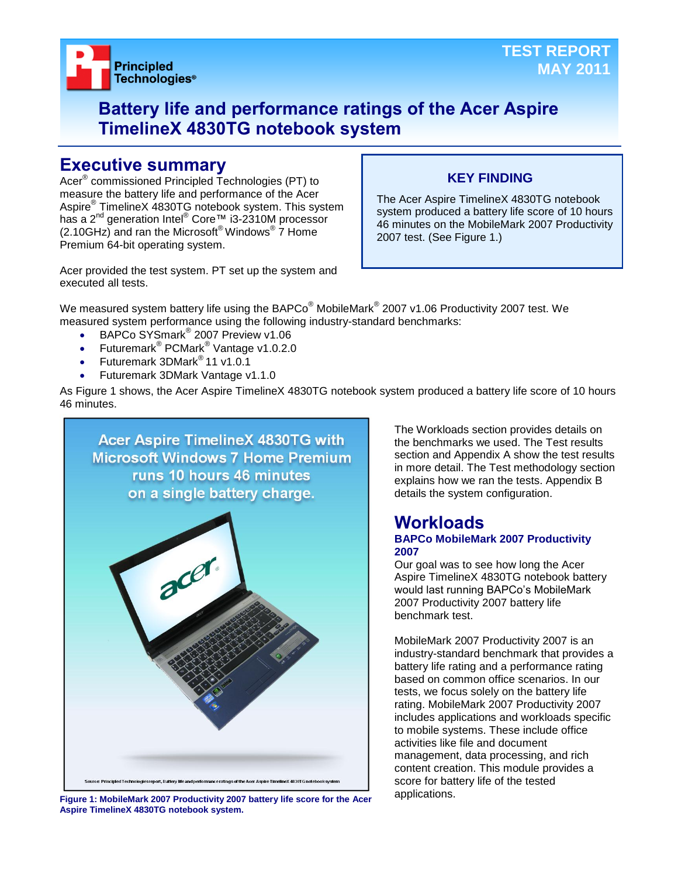

## **Battery life and performance ratings of the Acer Aspire TimelineX 4830TG notebook system**

## **Executive summary**

Acer® commissioned Principled Technologies (PT) to measure the battery life and performance of the Acer Aspire® TimelineX 4830TG notebook system. This system has a 2<sup>nd</sup> generation Intel<sup>®</sup> Core™ i3-2310M processor  $(2.10$ GHz) and ran the Microsoft® Windows®  $\overline{7}$  Home Premium 64-bit operating system.

## **KEY FINDING**

The Acer Aspire TimelineX 4830TG notebook system produced a battery life score of 10 hours 46 minutes on the MobileMark 2007 Productivity 2007 test. (See Figure 1.)

Acer provided the test system. PT set up the system and executed all tests.

We measured system battery life using the BAPCo $^\circ$  MobileMark $^\circ$  2007 v1.06 Productivity 2007 test. We measured system performance using the following industry-standard benchmarks:

- BAPCo SYSmark<sup>®</sup> 2007 Preview v1.06
- Futuremark<sup>®</sup> PCMark<sup>®</sup> Vantage v1.0.2.0
- Futuremark 3DMark® 11 v1.0.1
- Futuremark 3DMark Vantage v1.1.0

As Figure 1 shows, the Acer Aspire TimelineX 4830TG notebook system produced a battery life score of 10 hours 46 minutes.



applications. **Figure 1: MobileMark 2007 Productivity 2007 battery life score for the Acer Aspire TimelineX 4830TG notebook system.**

The Workloads section provides details on the benchmarks we used. The Test results section and Appendix A show the test results in more detail. The Test methodology section explains how we ran the tests. Appendix B details the system configuration.

## **Workloads BAPCo MobileMark 2007 Productivity 2007**

Our goal was to see how long the Acer Aspire TimelineX 4830TG notebook battery would last running BAPCo's MobileMark 2007 Productivity 2007 battery life benchmark test.

MobileMark 2007 Productivity 2007 is an industry-standard benchmark that provides a battery life rating and a performance rating based on common office scenarios. In our tests, we focus solely on the battery life rating. MobileMark 2007 Productivity 2007 includes applications and workloads specific to mobile systems. These include office activities like file and document management, data processing, and rich content creation. This module provides a score for battery life of the tested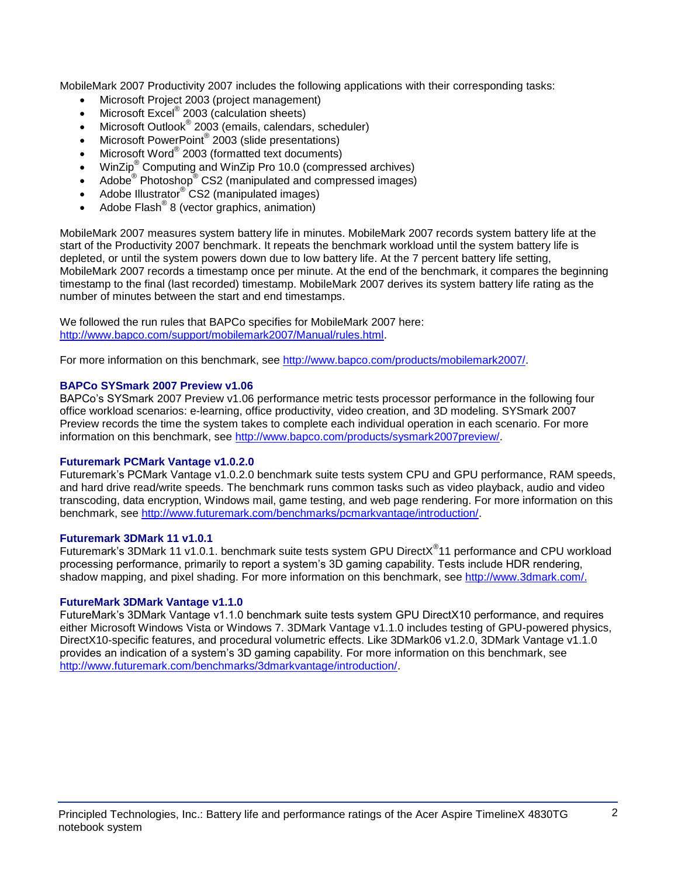MobileMark 2007 Productivity 2007 includes the following applications with their corresponding tasks:

- Microsoft Project 2003 (project management)
- Microsoft Excel<sup>®</sup> 2003 (calculation sheets)
- Microsoft Outlook<sup>®</sup> 2003 (emails, calendars, scheduler)
- Microsoft PowerPoint® 2003 (slide presentations)
- Microsoft Word® 2003 (formatted text documents)
- WinZip® Computing and WinZip Pro 10.0 (compressed archives)
- Adobe  $^{\circ}$  Photoshop $^{\circ}$  CS2 (manipulated and compressed images)
- Adobe Illustrator® CS2 (manipulated images)
- $\bullet$  Adobe Flash<sup>®</sup> 8 (vector graphics, animation)

MobileMark 2007 measures system battery life in minutes. MobileMark 2007 records system battery life at the start of the Productivity 2007 benchmark. It repeats the benchmark workload until the system battery life is depleted, or until the system powers down due to low battery life. At the 7 percent battery life setting, MobileMark 2007 records a timestamp once per minute. At the end of the benchmark, it compares the beginning timestamp to the final (last recorded) timestamp. MobileMark 2007 derives its system battery life rating as the number of minutes between the start and end timestamps.

We followed the run rules that BAPCo specifies for MobileMark 2007 here: [http://www.bapco.com/support/mobilemark2007/Manual/rules.html.](http://www.bapco.com/support/mobilemark2007/Manual/rules.html)

For more information on this benchmark, see [http://www.bapco.com/products/mobilemark2007/.](http://www.bapco.com/products/mobilemark2007/)

## **BAPCo SYSmark 2007 Preview v1.06**

BAPCo's SYSmark 2007 Preview v1.06 performance metric tests processor performance in the following four office workload scenarios: e-learning, office productivity, video creation, and 3D modeling. SYSmark 2007 Preview records the time the system takes to complete each individual operation in each scenario. For more information on this benchmark, see [http://www.bapco.com/products/sysmark2007preview/.](http://www.bapco.com/products/sysmark2007preview/)

## **Futuremark PCMark Vantage v1.0.2.0**

Futuremark's PCMark Vantage v1.0.2.0 benchmark suite tests system CPU and GPU performance, RAM speeds, and hard drive read/write speeds. The benchmark runs common tasks such as video playback, audio and video transcoding, data encryption, Windows mail, game testing, and web page rendering. For more information on this benchmark, see [http://www.futuremark.com/benchmarks/pcmarkvantage/introduction/.](http://www.futuremark.com/benchmarks/pcmarkvantage/introduction/)

#### **Futuremark 3DMark 11 v1.0.1**

Futuremark's 3DMark 11 v1.0.1. benchmark suite tests system GPU DirectX<sup>®</sup>11 performance and CPU workload processing performance, primarily to report a system's 3D gaming capability. Tests include HDR rendering, shadow mapping, and pixel shading. For more information on this benchmark, see [http://www.3dmark.com/.](http://www.3dmark.com/)

## **FutureMark 3DMark Vantage v1.1.0**

FutureMark's 3DMark Vantage v1.1.0 benchmark suite tests system GPU DirectX10 performance, and requires either Microsoft Windows Vista or Windows 7. 3DMark Vantage v1.1.0 includes testing of GPU-powered physics, DirectX10-specific features, and procedural volumetric effects. Like 3DMark06 v1.2.0, 3DMark Vantage v1.1.0 provides an indication of a system's 3D gaming capability. For more information on this benchmark, see [http://www.futuremark.com/benchmarks/3dmarkvantage/introduction/.](http://www.futuremark.com/benchmarks/3dmarkvantage/introduction/)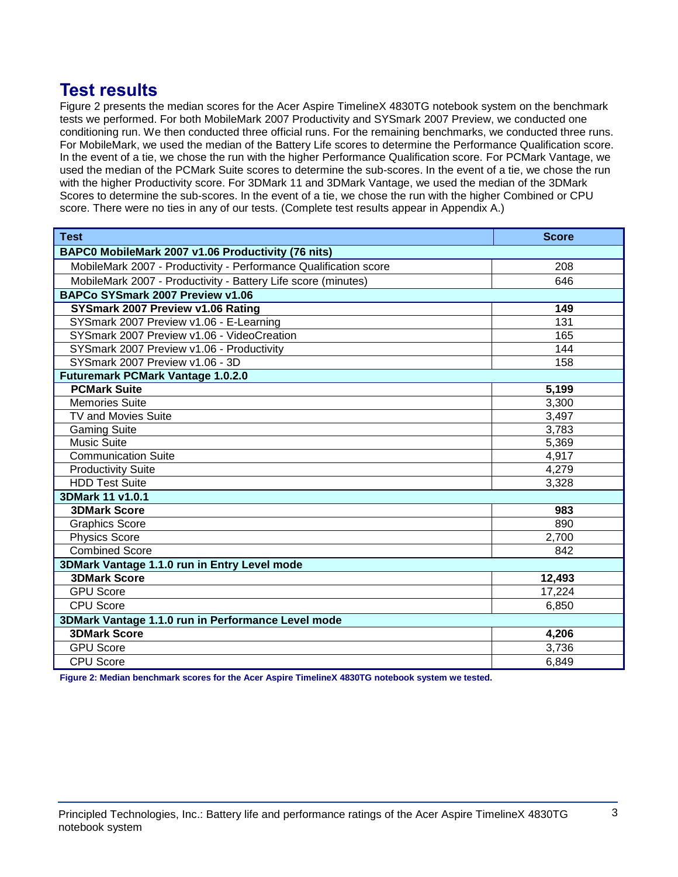## **Test results**

Figure 2 presents the median scores for the Acer Aspire TimelineX 4830TG notebook system on the benchmark tests we performed. For both MobileMark 2007 Productivity and SYSmark 2007 Preview, we conducted one conditioning run. We then conducted three official runs. For the remaining benchmarks, we conducted three runs. For MobileMark, we used the median of the Battery Life scores to determine the Performance Qualification score. In the event of a tie, we chose the run with the higher Performance Qualification score. For PCMark Vantage, we used the median of the PCMark Suite scores to determine the sub-scores. In the event of a tie, we chose the run with the higher Productivity score. For 3DMark 11 and 3DMark Vantage, we used the median of the 3DMark Scores to determine the sub-scores. In the event of a tie, we chose the run with the higher Combined or CPU score. There were no ties in any of our tests. (Complete test results appear in Appendix A.)

| <b>Test</b>                                                      | <b>Score</b> |  |
|------------------------------------------------------------------|--------------|--|
| BAPC0 MobileMark 2007 v1.06 Productivity (76 nits)               |              |  |
| MobileMark 2007 - Productivity - Performance Qualification score | 208          |  |
| MobileMark 2007 - Productivity - Battery Life score (minutes)    | 646          |  |
| BAPCo SYSmark 2007 Preview v1.06                                 |              |  |
| SYSmark 2007 Preview v1.06 Rating                                | 149          |  |
| SYSmark 2007 Preview v1.06 - E-Learning                          | 131          |  |
| SYSmark 2007 Preview v1.06 - VideoCreation                       | 165          |  |
| SYSmark 2007 Preview v1.06 - Productivity                        | 144          |  |
| SYSmark 2007 Preview v1.06 - 3D                                  | 158          |  |
| <b>Futuremark PCMark Vantage 1.0.2.0</b>                         |              |  |
| <b>PCMark Suite</b>                                              | 5,199        |  |
| <b>Memories Suite</b>                                            | 3,300        |  |
| <b>TV and Movies Suite</b>                                       | 3,497        |  |
| <b>Gaming Suite</b>                                              | 3,783        |  |
| <b>Music Suite</b>                                               | 5,369        |  |
| <b>Communication Suite</b>                                       | 4,917        |  |
| <b>Productivity Suite</b>                                        | 4,279        |  |
| <b>HDD Test Suite</b>                                            | 3,328        |  |
| 3DMark 11 v1.0.1                                                 |              |  |
| <b>3DMark Score</b>                                              | 983          |  |
| <b>Graphics Score</b>                                            | 890          |  |
| <b>Physics Score</b>                                             | 2,700        |  |
| <b>Combined Score</b>                                            | 842          |  |
| 3DMark Vantage 1.1.0 run in Entry Level mode                     |              |  |
| <b>3DMark Score</b>                                              | 12,493       |  |
| <b>GPU</b> Score                                                 | 17,224       |  |
| <b>CPU Score</b>                                                 | 6,850        |  |
| 3DMark Vantage 1.1.0 run in Performance Level mode               |              |  |
| <b>3DMark Score</b>                                              | 4,206        |  |
| <b>GPU Score</b>                                                 | 3,736        |  |
| <b>CPU Score</b>                                                 | 6,849        |  |

**Figure 2: Median benchmark scores for the Acer Aspire TimelineX 4830TG notebook system we tested.**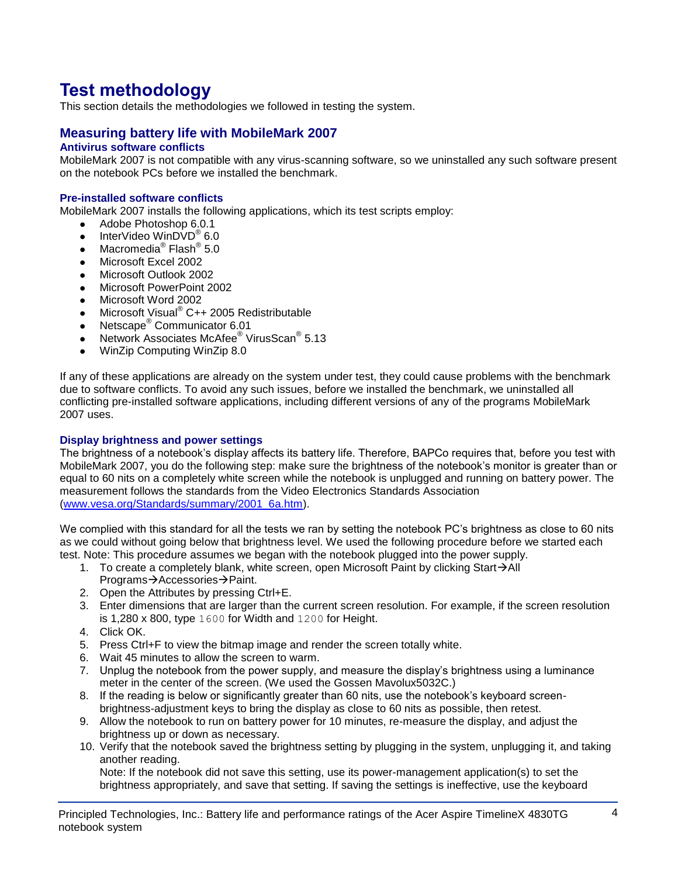# **Test methodology**

This section details the methodologies we followed in testing the system.

## **Measuring battery life with MobileMark 2007**

## **Antivirus software conflicts**

MobileMark 2007 is not compatible with any virus-scanning software, so we uninstalled any such software present on the notebook PCs before we installed the benchmark.

## **Pre-installed software conflicts**

MobileMark 2007 installs the following applications, which its test scripts employ:

- Adobe Photoshop 6.0.1
- InterVideo WinDVD $^{\circ}$  6.0
- Macromedia $^{\circledR}$  Flash $^{\circledR}$  5.0
- Microsoft Excel 2002
- Microsoft Outlook 2002
- Microsoft PowerPoint 2002
- Microsoft Word 2002
- Microsoft Visual<sup>®</sup> C++ 2005 Redistributable
- Netscape<sup>®</sup> Communicator 6.01
- Network Associates McAfee<sup>®</sup> VirusScan<sup>®</sup> 5.13
- WinZip Computing WinZip 8.0

If any of these applications are already on the system under test, they could cause problems with the benchmark due to software conflicts. To avoid any such issues, before we installed the benchmark, we uninstalled all conflicting pre-installed software applications, including different versions of any of the programs MobileMark 2007 uses.

#### **Display brightness and power settings**

The brightness of a notebook's display affects its battery life. Therefore, BAPCo requires that, before you test with MobileMark 2007, you do the following step: make sure the brightness of the notebook's monitor is greater than or equal to 60 nits on a completely white screen while the notebook is unplugged and running on battery power. The measurement follows the standards from the Video Electronics Standards Association [\(www.vesa.org/Standards/summary/2001\\_6a.htm\)](http://www.vesa.org/Standards/summary/2001_6a.htm).

We complied with this standard for all the tests we ran by setting the notebook PC's brightness as close to 60 nits as we could without going below that brightness level. We used the following procedure before we started each test. Note: This procedure assumes we began with the notebook plugged into the power supply.

- 1. To create a completely blank, white screen, open Microsoft Paint by clicking Start $\rightarrow$ All Programs→Accessories→Paint.
- 2. Open the Attributes by pressing Ctrl+E.
- 3. Enter dimensions that are larger than the current screen resolution. For example, if the screen resolution is 1,280 x 800, type 1600 for Width and 1200 for Height.
- 4. Click OK.
- 5. Press Ctrl+F to view the bitmap image and render the screen totally white.
- 6. Wait 45 minutes to allow the screen to warm.
- 7. Unplug the notebook from the power supply, and measure the display's brightness using a luminance meter in the center of the screen. (We used the Gossen Mavolux5032C.)
- 8. If the reading is below or significantly greater than 60 nits, use the notebook's keyboard screenbrightness-adjustment keys to bring the display as close to 60 nits as possible, then retest.
- 9. Allow the notebook to run on battery power for 10 minutes, re-measure the display, and adjust the brightness up or down as necessary.
- 10. Verify that the notebook saved the brightness setting by plugging in the system, unplugging it, and taking another reading.

Note: If the notebook did not save this setting, use its power-management application(s) to set the brightness appropriately, and save that setting. If saving the settings is ineffective, use the keyboard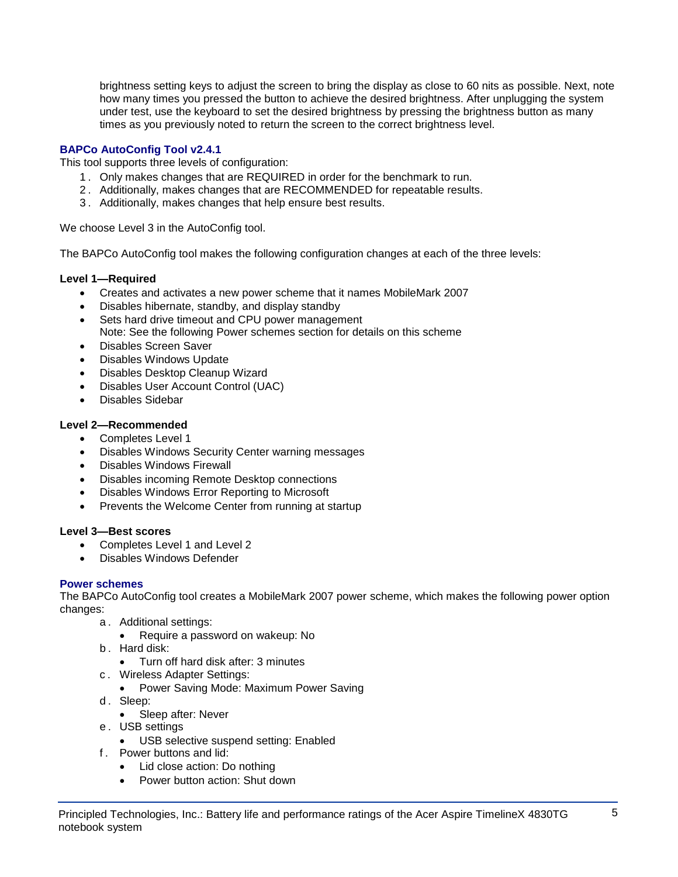brightness setting keys to adjust the screen to bring the display as close to 60 nits as possible. Next, note how many times you pressed the button to achieve the desired brightness. After unplugging the system under test, use the keyboard to set the desired brightness by pressing the brightness button as many times as you previously noted to return the screen to the correct brightness level.

## **BAPCo AutoConfig Tool v2.4.1**

This tool supports three levels of configuration:

- 1 . Only makes changes that are REQUIRED in order for the benchmark to run.
- 2 . Additionally, makes changes that are RECOMMENDED for repeatable results.
- 3 . Additionally, makes changes that help ensure best results.

We choose Level 3 in the AutoConfig tool.

The BAPCo AutoConfig tool makes the following configuration changes at each of the three levels:

## **Level 1—Required**

- Creates and activates a new power scheme that it names MobileMark 2007
- Disables hibernate, standby, and display standby
- Sets hard drive timeout and CPU power management Note: See the following Power schemes section for details on this scheme
- Disables Screen Saver
- Disables Windows Update
- Disables Desktop Cleanup Wizard
- Disables User Account Control (UAC)
- Disables Sidebar

## **Level 2—Recommended**

- Completes Level 1
- Disables Windows Security Center warning messages
- Disables Windows Firewall
- Disables incoming Remote Desktop connections
- Disables Windows Error Reporting to Microsoft
- Prevents the Welcome Center from running at startup

## **Level 3—Best scores**

- Completes Level 1 and Level 2
- Disables Windows Defender

## **Power schemes**

The BAPCo AutoConfig tool creates a MobileMark 2007 power scheme, which makes the following power option changes:

- a . Additional settings:
	- Require a password on wakeup: No
- b . Hard disk:
	- Turn off hard disk after: 3 minutes
- c . Wireless Adapter Settings:
	- Power Saving Mode: Maximum Power Saving
- d. Sleep:
	- Sleep after: Never
- e . USB settings
	- USB selective suspend setting: Enabled
- f . Power buttons and lid:
	- Lid close action: Do nothing
	- Power button action: Shut down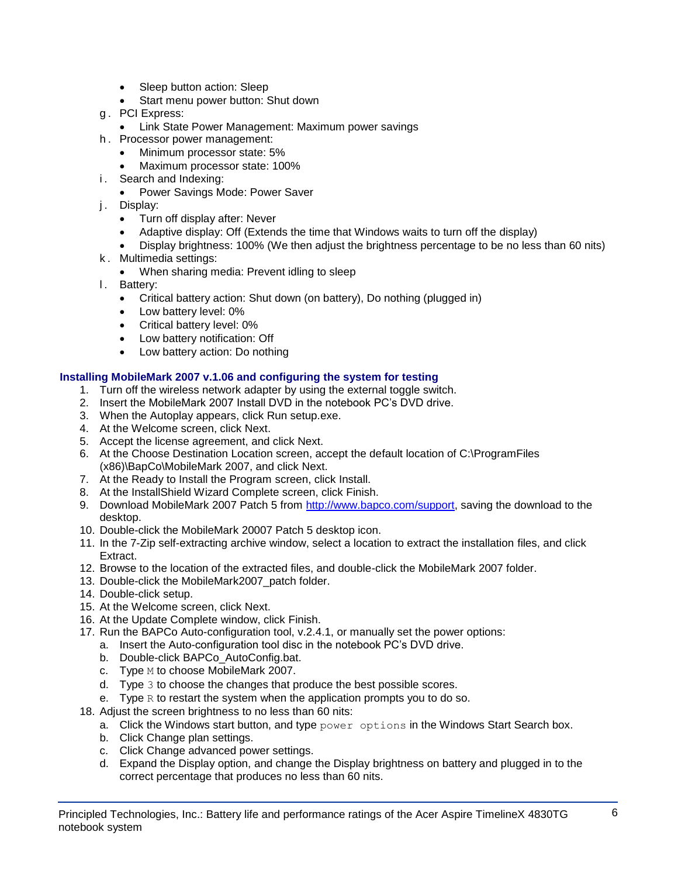- Sleep button action: Sleep
- Start menu power button: Shut down
- g . PCI Express:
	- **Link State Power Management: Maximum power savings**
- h . Processor power management:
	- Minimum processor state: 5%
	- Maximum processor state: 100%
- i. Search and Indexing:
	- Power Savings Mode: Power Saver
- j. Display:
	- Turn off display after: Never
	- Adaptive display: Off (Extends the time that Windows waits to turn off the display)
	- Display brightness: 100% (We then adjust the brightness percentage to be no less than 60 nits)
- k . Multimedia settings:
	- When sharing media: Prevent idling to sleep
- l. Battery:
	- Critical battery action: Shut down (on battery), Do nothing (plugged in)
	- Low battery level: 0%
	- Critical battery level: 0%
	- Low battery notification: Off
	- Low battery action: Do nothing

#### **Installing MobileMark 2007 v.1.06 and configuring the system for testing**

- 1. Turn off the wireless network adapter by using the external toggle switch.
- 2. Insert the MobileMark 2007 Install DVD in the notebook PC's DVD drive.
- 3. When the Autoplay appears, click Run setup.exe.
- 4. At the Welcome screen, click Next.
- 5. Accept the license agreement, and click Next.
- 6. At the Choose Destination Location screen, accept the default location of C:\ProgramFiles (x86)\BapCo\MobileMark 2007, and click Next.
- 7. At the Ready to Install the Program screen, click Install.
- 8. At the InstallShield Wizard Complete screen, click Finish.
- 9. Download MobileMark 2007 Patch 5 from [http://www.bapco.com/support,](http://www.bapco.com/support) saving the download to the desktop.
- 10. Double-click the MobileMark 20007 Patch 5 desktop icon.
- 11. In the 7-Zip self-extracting archive window, select a location to extract the installation files, and click Extract.
- 12. Browse to the location of the extracted files, and double-click the MobileMark 2007 folder.
- 13. Double-click the MobileMark2007\_patch folder.
- 14. Double-click setup.
- 15. At the Welcome screen, click Next.
- 16. At the Update Complete window, click Finish.
- 17. Run the BAPCo Auto-configuration tool, v.2.4.1, or manually set the power options:
	- a. Insert the Auto-configuration tool disc in the notebook PC's DVD drive.
	- b. Double-click BAPCo\_AutoConfig.bat.
	- c. Type M to choose MobileMark 2007.
	- d. Type 3 to choose the changes that produce the best possible scores.
	- e. Type  $R$  to restart the system when the application prompts you to do so.
- 18. Adjust the screen brightness to no less than 60 nits:
	- a. Click the Windows start button, and type  $power$  options in the Windows Start Search box.
	- b. Click Change plan settings.
	- c. Click Change advanced power settings.
	- d. Expand the Display option, and change the Display brightness on battery and plugged in to the correct percentage that produces no less than 60 nits.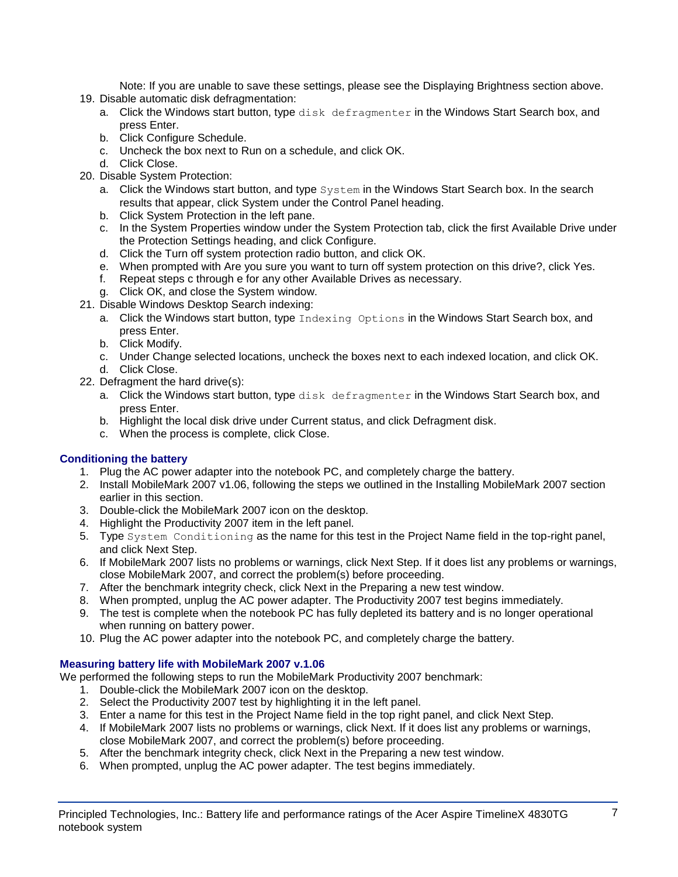Note: If you are unable to save these settings, please see the Displaying Brightness section above.

- 19. Disable automatic disk defragmentation:
	- a. Click the Windows start button, type disk defragmenter in the Windows Start Search box, and press Enter.
	- b. Click Configure Schedule.
	- c. Uncheck the box next to Run on a schedule, and click OK.
	- d. Click Close.
- 20. Disable System Protection:
	- a. Click the Windows start button, and type System in the Windows Start Search box. In the search results that appear, click System under the Control Panel heading.
	- b. Click System Protection in the left pane.
	- c. In the System Properties window under the System Protection tab, click the first Available Drive under the Protection Settings heading, and click Configure.
	- d. Click the Turn off system protection radio button, and click OK.
	- e. When prompted with Are you sure you want to turn off system protection on this drive?, click Yes.
	- f. Repeat steps c through e for any other Available Drives as necessary.
	- g. Click OK, and close the System window.
- 21. Disable Windows Desktop Search indexing:
	- a. Click the Windows start button, type Indexing Options in the Windows Start Search box, and press Enter.
	- b. Click Modify.
	- c. Under Change selected locations, uncheck the boxes next to each indexed location, and click OK. d. Click Close.
- 22. Defragment the hard drive(s):
	- a. Click the Windows start button, type disk defragmenter in the Windows Start Search box, and press Enter.
	- b. Highlight the local disk drive under Current status, and click Defragment disk.
	- c. When the process is complete, click Close.

## **Conditioning the battery**

- 1. Plug the AC power adapter into the notebook PC, and completely charge the battery.
- 2. Install MobileMark 2007 v1.06, following the steps we outlined in the Installing MobileMark 2007 section earlier in this section.
- 3. Double-click the MobileMark 2007 icon on the desktop.
- 4. Highlight the Productivity 2007 item in the left panel.
- 5. Type System Conditioning as the name for this test in the Project Name field in the top-right panel, and click Next Step.
- 6. If MobileMark 2007 lists no problems or warnings, click Next Step. If it does list any problems or warnings, close MobileMark 2007, and correct the problem(s) before proceeding.
- 7. After the benchmark integrity check, click Next in the Preparing a new test window.
- 8. When prompted, unplug the AC power adapter. The Productivity 2007 test begins immediately.
- 9. The test is complete when the notebook PC has fully depleted its battery and is no longer operational when running on battery power.
- 10. Plug the AC power adapter into the notebook PC, and completely charge the battery.

## **Measuring battery life with MobileMark 2007 v.1.06**

We performed the following steps to run the MobileMark Productivity 2007 benchmark:

- 1. Double-click the MobileMark 2007 icon on the desktop.
- 2. Select the Productivity 2007 test by highlighting it in the left panel.
- 3. Enter a name for this test in the Project Name field in the top right panel, and click Next Step.
- 4. If MobileMark 2007 lists no problems or warnings, click Next. If it does list any problems or warnings, close MobileMark 2007, and correct the problem(s) before proceeding.
- 5. After the benchmark integrity check, click Next in the Preparing a new test window.
- 6. When prompted, unplug the AC power adapter. The test begins immediately.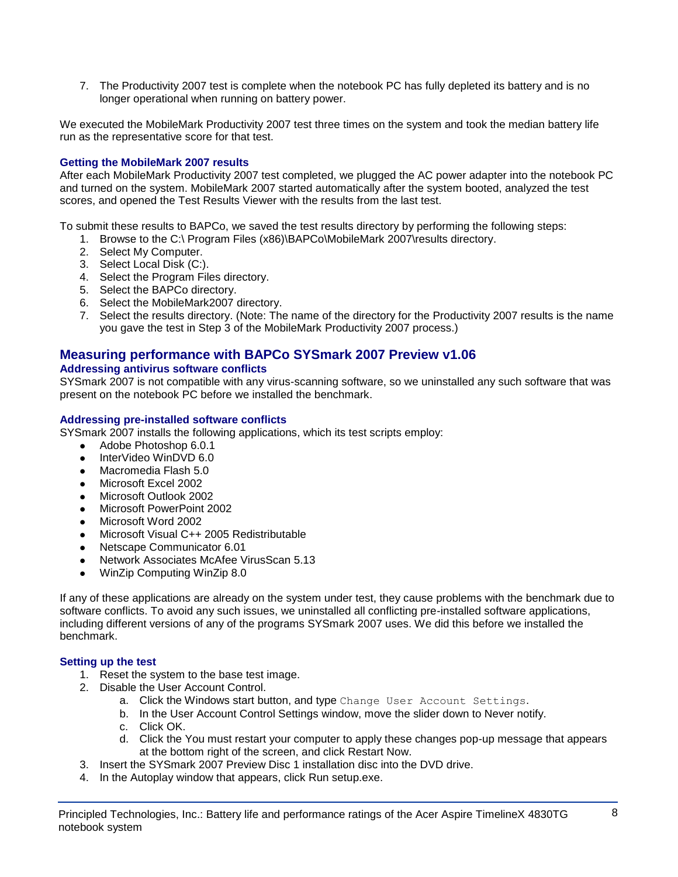7. The Productivity 2007 test is complete when the notebook PC has fully depleted its battery and is no longer operational when running on battery power.

We executed the MobileMark Productivity 2007 test three times on the system and took the median battery life run as the representative score for that test.

## **Getting the MobileMark 2007 results**

After each MobileMark Productivity 2007 test completed, we plugged the AC power adapter into the notebook PC and turned on the system. MobileMark 2007 started automatically after the system booted, analyzed the test scores, and opened the Test Results Viewer with the results from the last test.

To submit these results to BAPCo, we saved the test results directory by performing the following steps:

- 1. Browse to the C:\ Program Files (x86)\BAPCo\MobileMark 2007\results directory.
- 2. Select My Computer.
- 3. Select Local Disk (C:).
- 4. Select the Program Files directory.
- 5. Select the BAPCo directory.
- 6. Select the MobileMark2007 directory.
- 7. Select the results directory. (Note: The name of the directory for the Productivity 2007 results is the name you gave the test in Step 3 of the MobileMark Productivity 2007 process.)

## **Measuring performance with BAPCo SYSmark 2007 Preview v1.06**

#### **Addressing antivirus software conflicts**

SYSmark 2007 is not compatible with any virus-scanning software, so we uninstalled any such software that was present on the notebook PC before we installed the benchmark.

#### **Addressing pre-installed software conflicts**

SYSmark 2007 installs the following applications, which its test scripts employ:

- Adobe Photoshop 6.0.1
- InterVideo WinDVD 6.0
- Macromedia Flash 5.0
- Microsoft Excel 2002
- Microsoft Outlook 2002
- Microsoft PowerPoint 2002
- Microsoft Word 2002
- Microsoft Visual C++ 2005 Redistributable
- Netscape Communicator 6.01
- Network Associates McAfee VirusScan 5.13
- WinZip Computing WinZip 8.0

If any of these applications are already on the system under test, they cause problems with the benchmark due to software conflicts. To avoid any such issues, we uninstalled all conflicting pre-installed software applications, including different versions of any of the programs SYSmark 2007 uses. We did this before we installed the benchmark.

#### **Setting up the test**

- 1. Reset the system to the base test image.
- 2. Disable the User Account Control.
	- a. Click the Windows start button, and type Change User Account Settings.
	- b. In the User Account Control Settings window, move the slider down to Never notify.
	- c. Click OK.
	- d. Click the You must restart your computer to apply these changes pop-up message that appears at the bottom right of the screen, and click Restart Now.
- 3. Insert the SYSmark 2007 Preview Disc 1 installation disc into the DVD drive.
- 4. In the Autoplay window that appears, click Run setup.exe.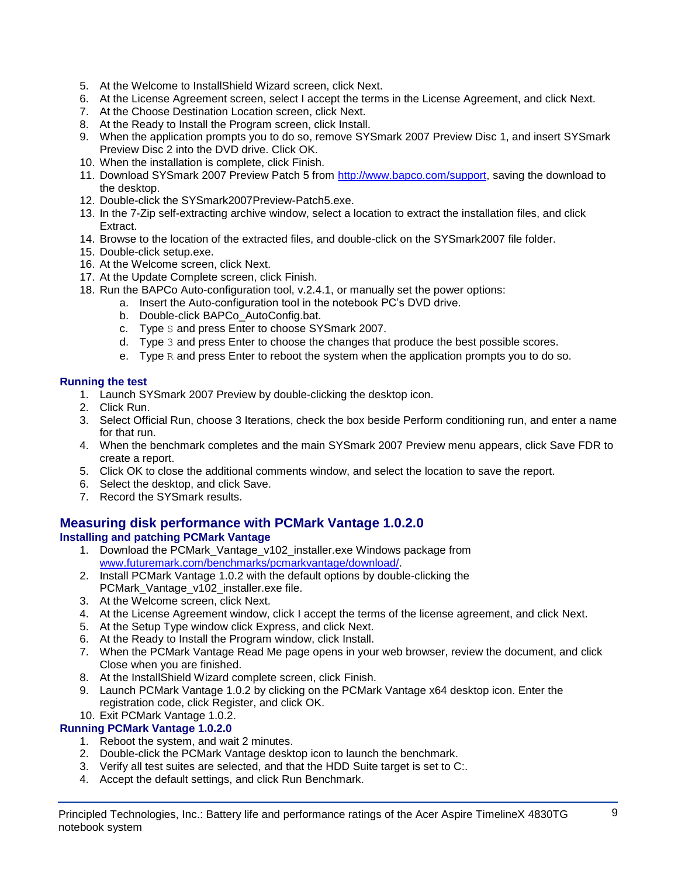- 5. At the Welcome to InstallShield Wizard screen, click Next.
- 6. At the License Agreement screen, select I accept the terms in the License Agreement, and click Next.
- 7. At the Choose Destination Location screen, click Next.
- 8. At the Ready to Install the Program screen, click Install.
- 9. When the application prompts you to do so, remove SYSmark 2007 Preview Disc 1, and insert SYSmark Preview Disc 2 into the DVD drive. Click OK.
- 10. When the installation is complete, click Finish.
- 11. Download SYSmark 2007 Preview Patch 5 from [http://www.bapco.com/support,](http://www.bapco.com/support) saving the download to the desktop.
- 12. Double-click the SYSmark2007Preview-Patch5.exe.
- 13. In the 7-Zip self-extracting archive window, select a location to extract the installation files, and click Extract.
- 14. Browse to the location of the extracted files, and double-click on the SYSmark2007 file folder.
- 15. Double-click setup.exe.
- 16. At the Welcome screen, click Next.
- 17. At the Update Complete screen, click Finish.
- 18. Run the BAPCo Auto-configuration tool, v.2.4.1, or manually set the power options:
	- a. Insert the Auto-configuration tool in the notebook PC's DVD drive.
		- b. Double-click BAPCo\_AutoConfig.bat.
		- c. Type S and press Enter to choose SYSmark 2007.
		- d. Type 3 and press Enter to choose the changes that produce the best possible scores.
		- e. Type  $R$  and press Enter to reboot the system when the application prompts you to do so.

## **Running the test**

- 1. Launch SYSmark 2007 Preview by double-clicking the desktop icon.
- 2. Click Run.
- 3. Select Official Run, choose 3 Iterations, check the box beside Perform conditioning run, and enter a name for that run.
- 4. When the benchmark completes and the main SYSmark 2007 Preview menu appears, click Save FDR to create a report.
- 5. Click OK to close the additional comments window, and select the location to save the report.
- 6. Select the desktop, and click Save.
- 7. Record the SYSmark results.

## **Measuring disk performance with PCMark Vantage 1.0.2.0**

## **Installing and patching PCMark Vantage**

- 1. Download the PCMark\_Vantage\_v102\_installer.exe Windows package from [www.futuremark.com/benchmarks/pcmarkvantage/download/.](http://www.futuremark.com/benchmarks/pcmarkvantage/download/)
- 2. Install PCMark Vantage 1.0.2 with the default options by double-clicking the PCMark\_Vantage\_v102\_installer.exe file.
- 3. At the Welcome screen, click Next.
- 4. At the License Agreement window, click I accept the terms of the license agreement, and click Next.
- 5. At the Setup Type window click Express, and click Next.
- 6. At the Ready to Install the Program window, click Install.
- 7. When the PCMark Vantage Read Me page opens in your web browser, review the document, and click Close when you are finished.
- 8. At the InstallShield Wizard complete screen, click Finish.
- 9. Launch PCMark Vantage 1.0.2 by clicking on the PCMark Vantage x64 desktop icon. Enter the registration code, click Register, and click OK.

## 10. Exit PCMark Vantage 1.0.2.

## **Running PCMark Vantage 1.0.2.0**

- 1. Reboot the system, and wait 2 minutes.
- 2. Double-click the PCMark Vantage desktop icon to launch the benchmark.
- 3. Verify all test suites are selected, and that the HDD Suite target is set to C:.
- 4. Accept the default settings, and click Run Benchmark.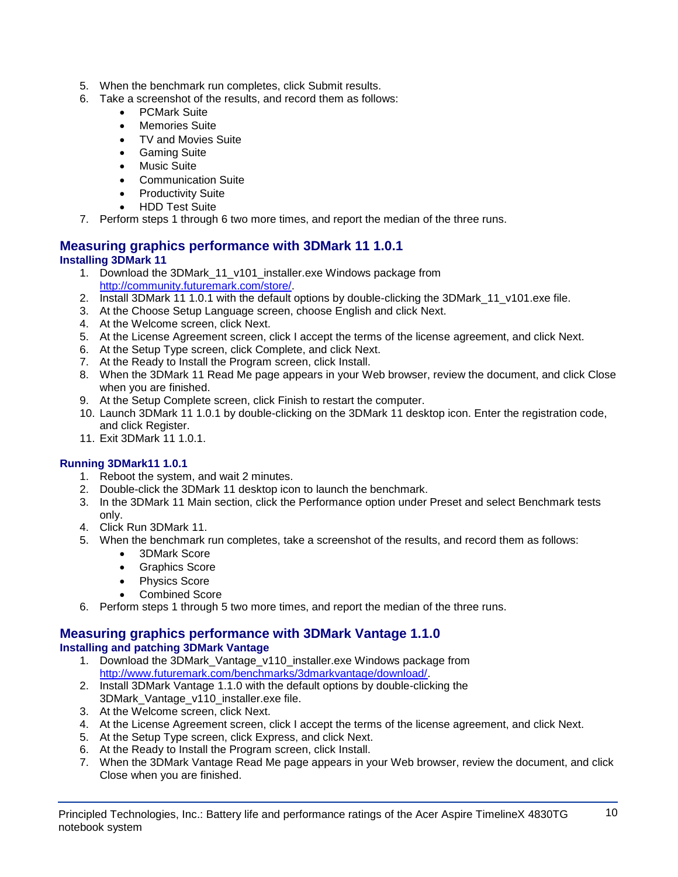- 5. When the benchmark run completes, click Submit results.
- 6. Take a screenshot of the results, and record them as follows:
	- PCMark Suite
	- Memories Suite
	- TV and Movies Suite
	- Gaming Suite
	- Music Suite
	- Communication Suite
	- Productivity Suite
	- HDD Test Suite
- 7. Perform steps 1 through 6 two more times, and report the median of the three runs.

## **Measuring graphics performance with 3DMark 11 1.0.1 Installing 3DMark 11**

- 1. Download the 3DMark\_11\_v101\_installer.exe Windows package from [http://community.futuremark.com/store/.](http://community.futuremark.com/store/)
- 2. Install 3DMark 11 1.0.1 with the default options by double-clicking the 3DMark 11 v101.exe file.
- 3. At the Choose Setup Language screen, choose English and click Next.
- 4. At the Welcome screen, click Next.
- 5. At the License Agreement screen, click I accept the terms of the license agreement, and click Next.
- 6. At the Setup Type screen, click Complete, and click Next.
- 7. At the Ready to Install the Program screen, click Install.
- 8. When the 3DMark 11 Read Me page appears in your Web browser, review the document, and click Close when you are finished.
- 9. At the Setup Complete screen, click Finish to restart the computer.
- 10. Launch 3DMark 11 1.0.1 by double-clicking on the 3DMark 11 desktop icon. Enter the registration code, and click Register.
- 11. Exit 3DMark 11 1.0.1.

## **Running 3DMark11 1.0.1**

- 1. Reboot the system, and wait 2 minutes.
- 2. Double-click the 3DMark 11 desktop icon to launch the benchmark.
- 3. In the 3DMark 11 Main section, click the Performance option under Preset and select Benchmark tests only.
- 4. Click Run 3DMark 11.
- 5. When the benchmark run completes, take a screenshot of the results, and record them as follows:
	- 3DMark Score
	- **•** Graphics Score
	- Physics Score
	- Combined Score
- 6. Perform steps 1 through 5 two more times, and report the median of the three runs.

#### **Measuring graphics performance with 3DMark Vantage 1.1.0 Installing and patching 3DMark Vantage**

- 1. Download the 3DMark\_Vantage\_v110\_installer.exe Windows package from [http://www.futuremark.com/benchmarks/3dmarkvantage/download/.](http://www.futuremark.com/benchmarks/3dmarkvantage/download/)
- 2. Install 3DMark Vantage 1.1.0 with the default options by double-clicking the 3DMark\_Vantage\_v110\_installer.exe file.
- 3. At the Welcome screen, click Next.
- 4. At the License Agreement screen, click I accept the terms of the license agreement, and click Next.
- 5. At the Setup Type screen, click Express, and click Next.
- 6. At the Ready to Install the Program screen, click Install.
- 7. When the 3DMark Vantage Read Me page appears in your Web browser, review the document, and click Close when you are finished.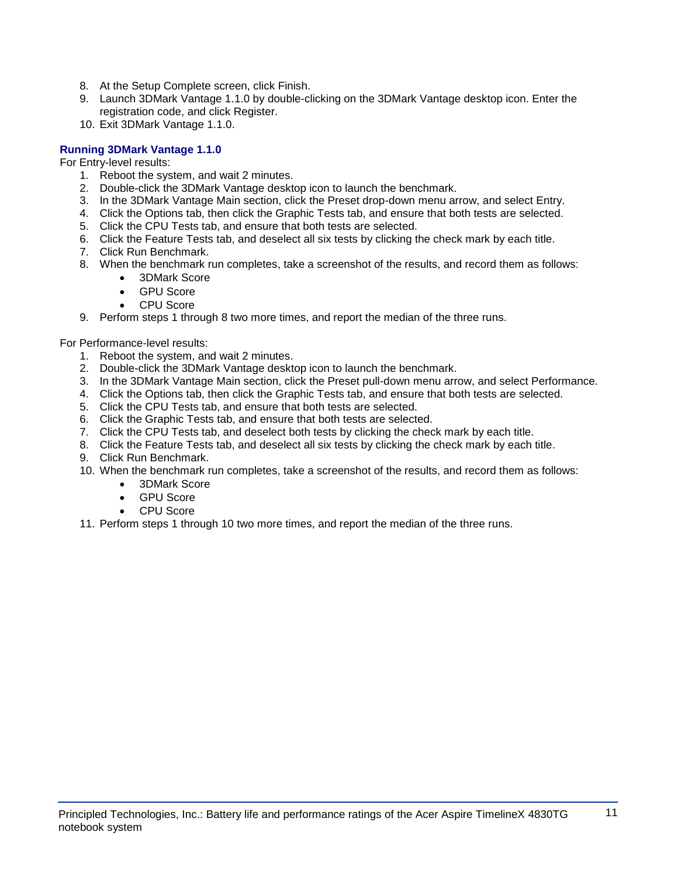- 8. At the Setup Complete screen, click Finish.
- 9. Launch 3DMark Vantage 1.1.0 by double-clicking on the 3DMark Vantage desktop icon. Enter the registration code, and click Register.
- 10. Exit 3DMark Vantage 1.1.0.

## **Running 3DMark Vantage 1.1.0**

For Entry-level results:

- 1. Reboot the system, and wait 2 minutes.
- 2. Double-click the 3DMark Vantage desktop icon to launch the benchmark.
- 3. In the 3DMark Vantage Main section, click the Preset drop-down menu arrow, and select Entry.
- 4. Click the Options tab, then click the Graphic Tests tab, and ensure that both tests are selected.
- 5. Click the CPU Tests tab, and ensure that both tests are selected.
- 6. Click the Feature Tests tab, and deselect all six tests by clicking the check mark by each title.
- 7. Click Run Benchmark.
- 8. When the benchmark run completes, take a screenshot of the results, and record them as follows:
	- 3DMark Score
	- GPU Score
	- CPU Score
- 9. Perform steps 1 through 8 two more times, and report the median of the three runs.

For Performance-level results:

- 1. Reboot the system, and wait 2 minutes.
- 2. Double-click the 3DMark Vantage desktop icon to launch the benchmark.
- 3. In the 3DMark Vantage Main section, click the Preset pull-down menu arrow, and select Performance.
- 4. Click the Options tab, then click the Graphic Tests tab, and ensure that both tests are selected.
- 5. Click the CPU Tests tab, and ensure that both tests are selected.
- 6. Click the Graphic Tests tab, and ensure that both tests are selected.
- 7. Click the CPU Tests tab, and deselect both tests by clicking the check mark by each title.
- 8. Click the Feature Tests tab, and deselect all six tests by clicking the check mark by each title.
- 9. Click Run Benchmark.
- 10. When the benchmark run completes, take a screenshot of the results, and record them as follows:
	- 3DMark Score
	- GPU Score
	- CPU Score
- 11. Perform steps 1 through 10 two more times, and report the median of the three runs.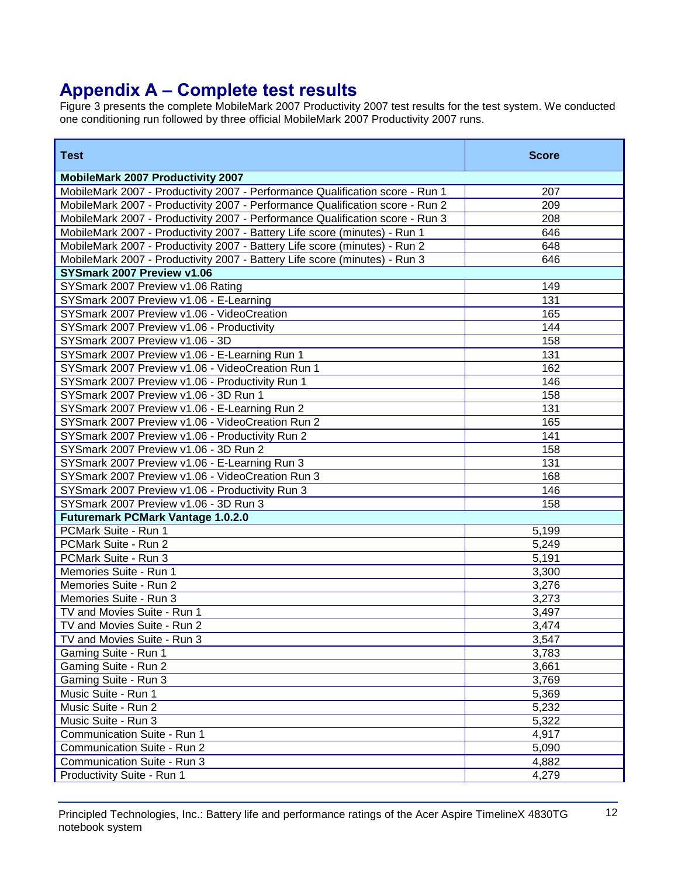# **Appendix A – Complete test results**

Figure 3 presents the complete MobileMark 2007 Productivity 2007 test results for the test system. We conducted one conditioning run followed by three official MobileMark 2007 Productivity 2007 runs.

| <b>Test</b>                                                                   | <b>Score</b> |
|-------------------------------------------------------------------------------|--------------|
| <b>MobileMark 2007 Productivity 2007</b>                                      |              |
| MobileMark 2007 - Productivity 2007 - Performance Qualification score - Run 1 | 207          |
| MobileMark 2007 - Productivity 2007 - Performance Qualification score - Run 2 | 209          |
| MobileMark 2007 - Productivity 2007 - Performance Qualification score - Run 3 | 208          |
| MobileMark 2007 - Productivity 2007 - Battery Life score (minutes) - Run 1    | 646          |
| MobileMark 2007 - Productivity 2007 - Battery Life score (minutes) - Run 2    | 648          |
| MobileMark 2007 - Productivity 2007 - Battery Life score (minutes) - Run 3    | 646          |
| SYSmark 2007 Preview v1.06                                                    |              |
| SYSmark 2007 Preview v1.06 Rating                                             | 149          |
| SYSmark 2007 Preview v1.06 - E-Learning                                       | 131          |
| SYSmark 2007 Preview v1.06 - VideoCreation                                    | 165          |
| SYSmark 2007 Preview v1.06 - Productivity                                     | 144          |
| SYSmark 2007 Preview v1.06 - 3D                                               | 158          |
| SYSmark 2007 Preview v1.06 - E-Learning Run 1                                 | 131          |
| SYSmark 2007 Preview v1.06 - VideoCreation Run 1                              | 162          |
| SYSmark 2007 Preview v1.06 - Productivity Run 1                               | 146          |
| SYSmark 2007 Preview v1.06 - 3D Run 1                                         | 158          |
| SYSmark 2007 Preview v1.06 - E-Learning Run 2                                 | 131          |
| SYSmark 2007 Preview v1.06 - VideoCreation Run 2                              | 165          |
| SYSmark 2007 Preview v1.06 - Productivity Run 2                               | 141          |
| SYSmark 2007 Preview v1.06 - 3D Run 2                                         | 158          |
| SYSmark 2007 Preview v1.06 - E-Learning Run 3                                 | 131          |
| SYSmark 2007 Preview v1.06 - VideoCreation Run 3                              | 168          |
| SYSmark 2007 Preview v1.06 - Productivity Run 3                               | 146          |
| SYSmark 2007 Preview v1.06 - 3D Run 3                                         | 158          |
| <b>Futuremark PCMark Vantage 1.0.2.0</b>                                      |              |
| PCMark Suite - Run 1                                                          | 5,199        |
| PCMark Suite - Run 2                                                          | 5,249        |
| PCMark Suite - Run 3                                                          | 5,191        |
| Memories Suite - Run 1                                                        | 3,300        |
| Memories Suite - Run 2                                                        | 3,276        |
| Memories Suite - Run 3                                                        | 3,273        |
| TV and Movies Suite - Run 1                                                   | 3,497        |
| TV and Movies Suite - Run 2                                                   | 3,474        |
| TV and Movies Suite - Run 3                                                   | 3,547        |
| Gaming Suite - Run 1                                                          | 3,783        |
| Gaming Suite - Run 2                                                          | 3,661        |
| Gaming Suite - Run 3                                                          | 3,769        |
| Music Suite - Run 1                                                           | 5,369        |
| Music Suite - Run 2                                                           | 5,232        |
| Music Suite - Run 3                                                           | 5,322        |
| Communication Suite - Run 1                                                   | 4,917        |
| Communication Suite - Run 2                                                   | 5,090        |
| Communication Suite - Run 3                                                   | 4,882        |
| Productivity Suite - Run 1                                                    | 4,279        |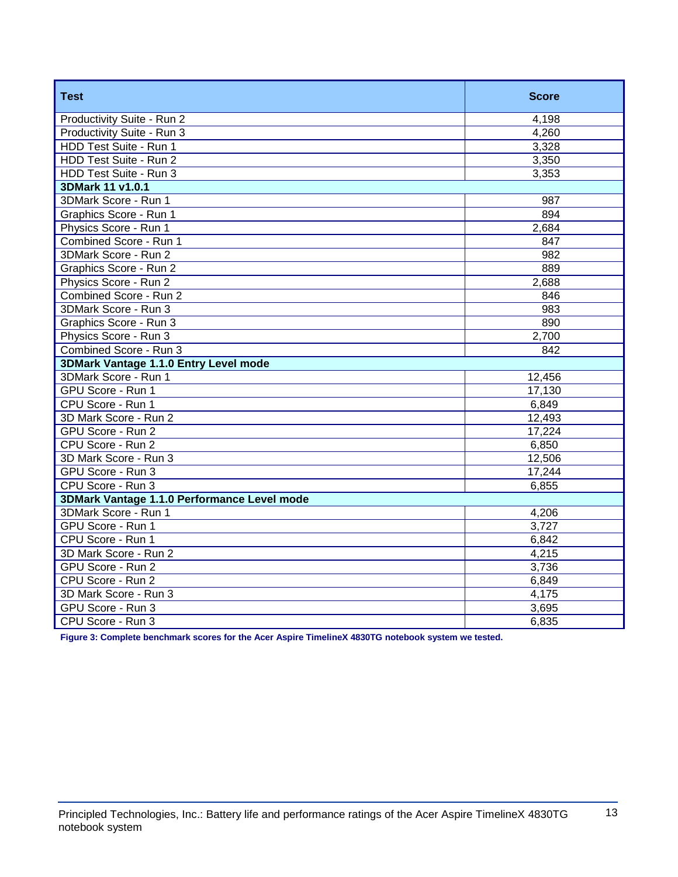| <b>Test</b>                                 | <b>Score</b>     |
|---------------------------------------------|------------------|
| Productivity Suite - Run 2                  | 4,198            |
| Productivity Suite - Run 3                  | 4,260            |
| HDD Test Suite - Run 1                      | 3,328            |
| HDD Test Suite - Run 2                      | 3,350            |
| HDD Test Suite - Run 3                      | 3,353            |
| 3DMark 11 v1.0.1                            |                  |
| 3DMark Score - Run 1                        | 987              |
| Graphics Score - Run 1                      | 894              |
| Physics Score - Run 1                       | 2,684            |
| Combined Score - Run 1                      | 847              |
| 3DMark Score - Run 2                        | $\overline{982}$ |
| Graphics Score - Run 2                      | 889              |
| Physics Score - Run 2                       | 2,688            |
| Combined Score - Run 2                      | 846              |
| 3DMark Score - Run 3                        | 983              |
| Graphics Score - Run 3                      | 890              |
| Physics Score - Run 3                       | 2,700            |
| Combined Score - Run 3                      | 842              |
| 3DMark Vantage 1.1.0 Entry Level mode       |                  |
| 3DMark Score - Run 1                        | 12,456           |
| GPU Score - Run 1                           | 17,130           |
| CPU Score - Run 1                           | 6,849            |
| 3D Mark Score - Run 2                       | 12,493           |
| GPU Score - Run 2                           | 17,224           |
| CPU Score - Run 2                           | 6,850            |
| 3D Mark Score - Run 3                       | 12,506           |
| GPU Score - Run 3                           | 17,244           |
| CPU Score - Run 3                           | 6,855            |
| 3DMark Vantage 1.1.0 Performance Level mode |                  |
| 3DMark Score - Run 1                        | 4,206            |
| GPU Score - Run 1                           | 3,727            |
| CPU Score - Run 1                           | 6,842            |
| 3D Mark Score - Run 2                       | 4,215            |
| GPU Score - Run 2                           | 3,736            |
| CPU Score - Run 2                           | 6,849            |
| 3D Mark Score - Run 3                       | 4,175            |
| GPU Score - Run 3                           | 3,695            |
| CPU Score - Run 3                           | 6,835            |

**Figure 3: Complete benchmark scores for the Acer Aspire TimelineX 4830TG notebook system we tested.**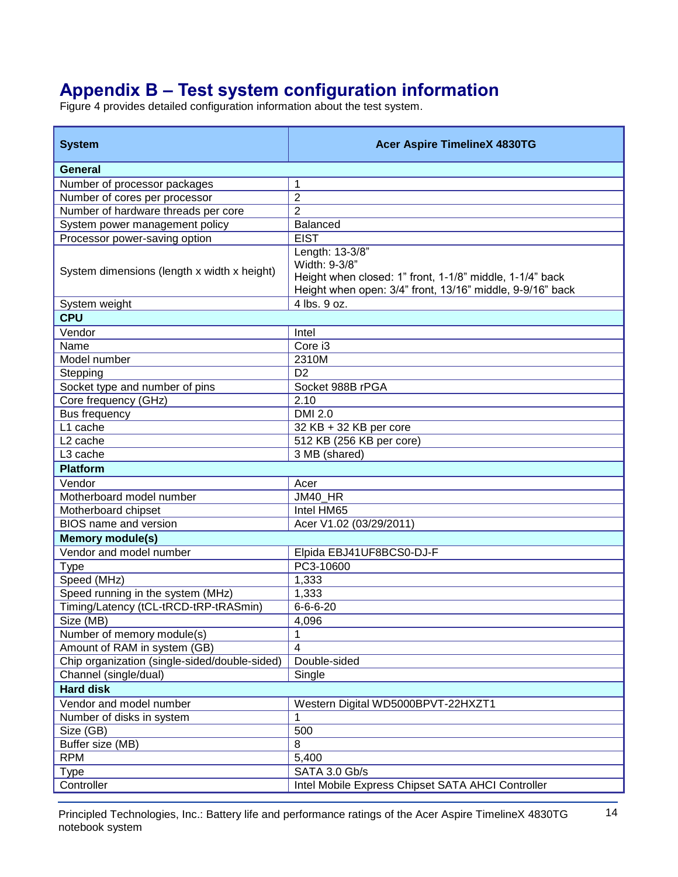# **Appendix B – Test system configuration information**

Figure 4 provides detailed configuration information about the test system.

| <b>System</b>                                 | <b>Acer Aspire TimelineX 4830TG</b>                                                                                                                       |
|-----------------------------------------------|-----------------------------------------------------------------------------------------------------------------------------------------------------------|
| General                                       |                                                                                                                                                           |
| Number of processor packages                  | 1                                                                                                                                                         |
| Number of cores per processor                 | $\overline{2}$                                                                                                                                            |
| Number of hardware threads per core           | 2                                                                                                                                                         |
| System power management policy                | <b>Balanced</b>                                                                                                                                           |
| Processor power-saving option                 | <b>EIST</b>                                                                                                                                               |
| System dimensions (length x width x height)   | Length: 13-3/8"<br>Width: 9-3/8"<br>Height when closed: 1" front, 1-1/8" middle, 1-1/4" back<br>Height when open: 3/4" front, 13/16" middle, 9-9/16" back |
| System weight                                 | 4 lbs. 9 oz.                                                                                                                                              |
| <b>CPU</b>                                    |                                                                                                                                                           |
| Vendor                                        | Intel                                                                                                                                                     |
| Name                                          | Core i3                                                                                                                                                   |
| Model number                                  | 2310M                                                                                                                                                     |
| Stepping                                      | D <sub>2</sub>                                                                                                                                            |
| Socket type and number of pins                | Socket 988B rPGA                                                                                                                                          |
| Core frequency (GHz)                          | 2.10                                                                                                                                                      |
| <b>Bus frequency</b>                          | <b>DMI 2.0</b>                                                                                                                                            |
| L1 cache                                      | 32 KB + 32 KB per core                                                                                                                                    |
| L <sub>2</sub> cache                          | 512 KB (256 KB per core)                                                                                                                                  |
| L3 cache                                      | 3 MB (shared)                                                                                                                                             |
| <b>Platform</b>                               |                                                                                                                                                           |
| Vendor                                        | Acer                                                                                                                                                      |
| Motherboard model number                      | JM40_HR                                                                                                                                                   |
| Motherboard chipset                           | Intel HM65                                                                                                                                                |
| <b>BIOS</b> name and version                  | Acer V1.02 (03/29/2011)                                                                                                                                   |
| <b>Memory module(s)</b>                       |                                                                                                                                                           |
| Vendor and model number                       | Elpida EBJ41UF8BCS0-DJ-F                                                                                                                                  |
| <b>Type</b>                                   | PC3-10600                                                                                                                                                 |
| Speed (MHz)                                   | 1,333                                                                                                                                                     |
| Speed running in the system (MHz)             | 1,333                                                                                                                                                     |
| Timing/Latency (tCL-tRCD-tRP-tRASmin)         | $6 - 6 - 6 - 20$                                                                                                                                          |
| Size (MB)                                     | 4,096                                                                                                                                                     |
| Number of memory module(s)                    | 1                                                                                                                                                         |
| Amount of RAM in system (GB)                  | 4                                                                                                                                                         |
| Chip organization (single-sided/double-sided) | Double-sided                                                                                                                                              |
| Channel (single/dual)                         | Single                                                                                                                                                    |
| <b>Hard disk</b>                              |                                                                                                                                                           |
| Vendor and model number                       | Western Digital WD5000BPVT-22HXZT1                                                                                                                        |
| Number of disks in system                     | 1                                                                                                                                                         |
| Size (GB)                                     | 500                                                                                                                                                       |
| Buffer size (MB)                              | 8                                                                                                                                                         |
| <b>RPM</b>                                    | 5,400                                                                                                                                                     |
| <b>Type</b>                                   | SATA 3.0 Gb/s                                                                                                                                             |
| Controller                                    | Intel Mobile Express Chipset SATA AHCI Controller                                                                                                         |

Principled Technologies, Inc.: Battery life and performance ratings of the Acer Aspire TimelineX 4830TG 14 notebook system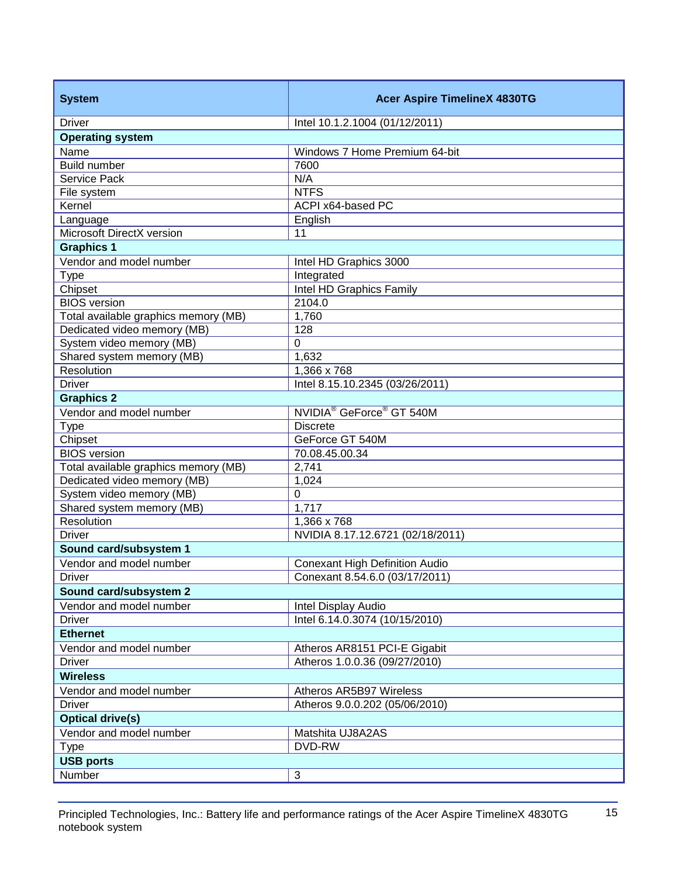| <b>System</b>                        | <b>Acer Aspire TimelineX 4830TG</b>              |  |
|--------------------------------------|--------------------------------------------------|--|
| <b>Driver</b>                        | Intel 10.1.2.1004 (01/12/2011)                   |  |
| <b>Operating system</b>              |                                                  |  |
| Name                                 | Windows 7 Home Premium 64-bit                    |  |
| Build number                         | 7600                                             |  |
| Service Pack                         | N/A                                              |  |
| File system                          | <b>NTFS</b>                                      |  |
| Kernel                               | ACPI x64-based PC                                |  |
| Language                             | English                                          |  |
| Microsoft DirectX version            | 11                                               |  |
| <b>Graphics 1</b>                    |                                                  |  |
| Vendor and model number              | Intel HD Graphics 3000                           |  |
| <b>Type</b>                          | Integrated                                       |  |
| Chipset                              | Intel HD Graphics Family                         |  |
| <b>BIOS</b> version                  | 2104.0                                           |  |
| Total available graphics memory (MB) | 1,760                                            |  |
| Dedicated video memory (MB)          | 128                                              |  |
| System video memory (MB)             | 0                                                |  |
| Shared system memory (MB)            | 1,632                                            |  |
| Resolution                           | 1,366 x 768                                      |  |
| <b>Driver</b>                        | Intel 8.15.10.2345 (03/26/2011)                  |  |
| <b>Graphics 2</b>                    |                                                  |  |
| Vendor and model number              | NVIDIA <sup>®</sup> GeForce <sup>®</sup> GT 540M |  |
| <b>Type</b>                          | <b>Discrete</b>                                  |  |
| Chipset                              | GeForce GT 540M                                  |  |
| <b>BIOS</b> version                  | 70.08.45.00.34                                   |  |
| Total available graphics memory (MB) | 2,741                                            |  |
| Dedicated video memory (MB)          | 1,024                                            |  |
| System video memory (MB)             | 0                                                |  |
| Shared system memory (MB)            | 1,717                                            |  |
| Resolution                           | 1,366 x 768                                      |  |
| <b>Driver</b>                        | NVIDIA 8.17.12.6721 (02/18/2011)                 |  |
| Sound card/subsystem 1               |                                                  |  |
| Vendor and model number              | <b>Conexant High Definition Audio</b>            |  |
| <b>Driver</b>                        | Conexant 8.54.6.0 (03/17/2011)                   |  |
| Sound card/subsystem 2               |                                                  |  |
| Vendor and model number              | Intel Display Audio                              |  |
| <b>Driver</b>                        | Intel 6.14.0.3074 (10/15/2010)                   |  |
| <b>Ethernet</b>                      |                                                  |  |
| Vendor and model number              | Atheros AR8151 PCI-E Gigabit                     |  |
| <b>Driver</b>                        | Atheros 1.0.0.36 (09/27/2010)                    |  |
| <b>Wireless</b>                      |                                                  |  |
| Vendor and model number              | Atheros AR5B97 Wireless                          |  |
| <b>Driver</b>                        | Atheros 9.0.0.202 (05/06/2010)                   |  |
| <b>Optical drive(s)</b>              |                                                  |  |
| Vendor and model number              | Matshita UJ8A2AS                                 |  |
| <b>Type</b>                          | DVD-RW                                           |  |
| <b>USB ports</b>                     |                                                  |  |
| Number                               | $\sqrt{3}$                                       |  |
|                                      |                                                  |  |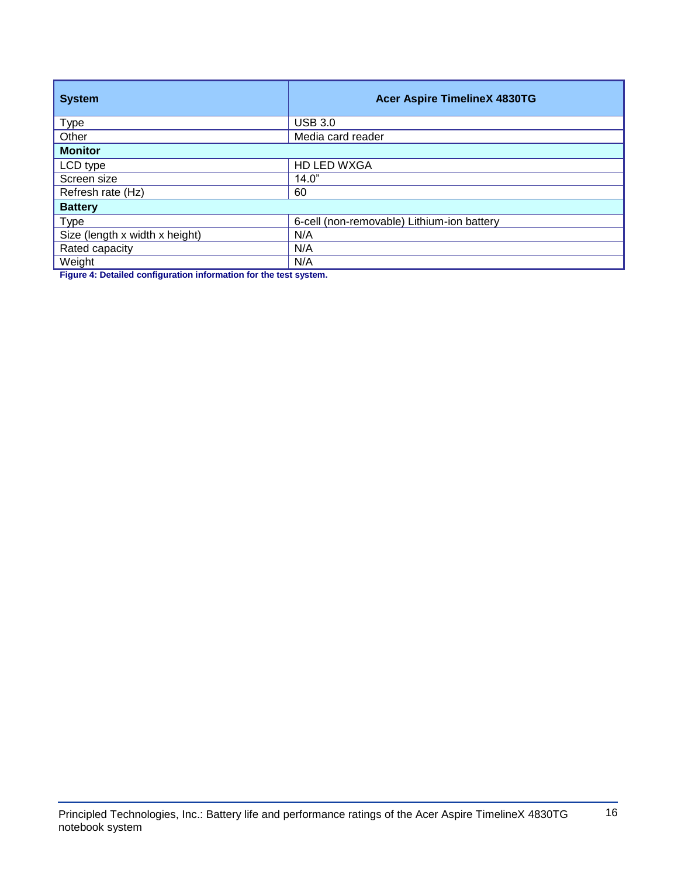| <b>System</b>                  | <b>Acer Aspire TimelineX 4830TG</b>        |  |
|--------------------------------|--------------------------------------------|--|
| <b>Type</b>                    | <b>USB 3.0</b>                             |  |
| Other                          | Media card reader                          |  |
| <b>Monitor</b>                 |                                            |  |
| LCD type                       | HD LED WXGA                                |  |
| Screen size                    | 14.0"                                      |  |
| Refresh rate (Hz)              | 60                                         |  |
| <b>Battery</b>                 |                                            |  |
| <b>Type</b>                    | 6-cell (non-removable) Lithium-ion battery |  |
| Size (length x width x height) | N/A                                        |  |
| Rated capacity                 | N/A                                        |  |
| Weight                         | N/A                                        |  |

**Figure 4: Detailed configuration information for the test system.**